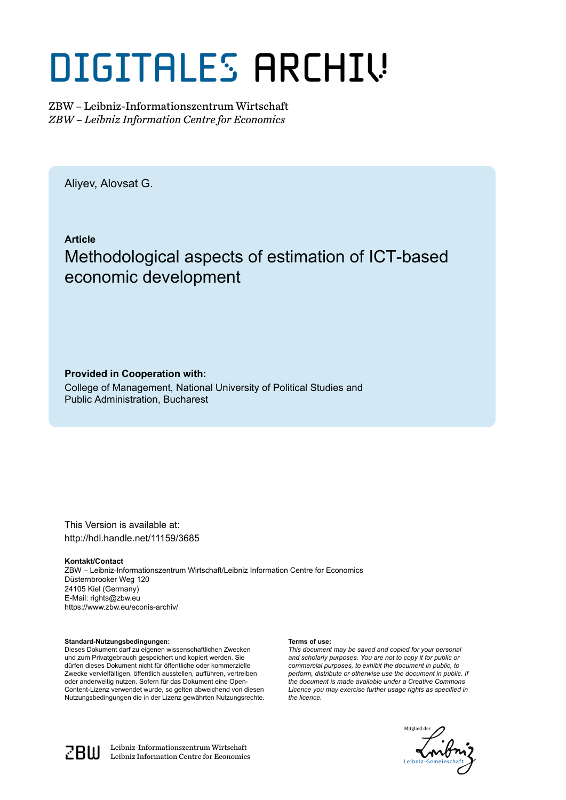# DIGITALES ARCHIV

ZBW – Leibniz-Informationszentrum Wirtschaft *ZBW – Leibniz Information Centre for Economics*

Aliyev, Alovsat G.

**Article** Methodological aspects of estimation of ICT-based economic development

**Provided in Cooperation with:**

College of Management, National University of Political Studies and Public Administration, Bucharest

This Version is available at: http://hdl.handle.net/11159/3685

**Kontakt/Contact**

ZBW – Leibniz-Informationszentrum Wirtschaft/Leibniz Information Centre for Economics Düsternbrooker Weg 120 24105 Kiel (Germany) E-Mail: rights@zbw.eu https://www.zbw.eu/econis-archiv/

**Standard-Nutzungsbedingungen:**

Dieses Dokument darf zu eigenen wissenschaftlichen Zwecken und zum Privatgebrauch gespeichert und kopiert werden. Sie dürfen dieses Dokument nicht für öffentliche oder kommerzielle Zwecke vervielfältigen, öffentlich ausstellen, aufführen, vertreiben oder anderweitig nutzen. Sofern für das Dokument eine Open-Content-Lizenz verwendet wurde, so gelten abweichend von diesen Nutzungsbedingungen die in der Lizenz gewährten Nutzungsrechte.

#### **Terms of use:**

*This document may be saved and copied for your personal and scholarly purposes. You are not to copy it for public or commercial purposes, to exhibit the document in public, to perform, distribute or otherwise use the document in public. If the document is made available under a Creative Commons Licence you may exercise further usage rights as specified in the licence.*





 $\mathbb{Z} \text{B} \text{U}$  Leibniz-Informationszentrum Wirtschaft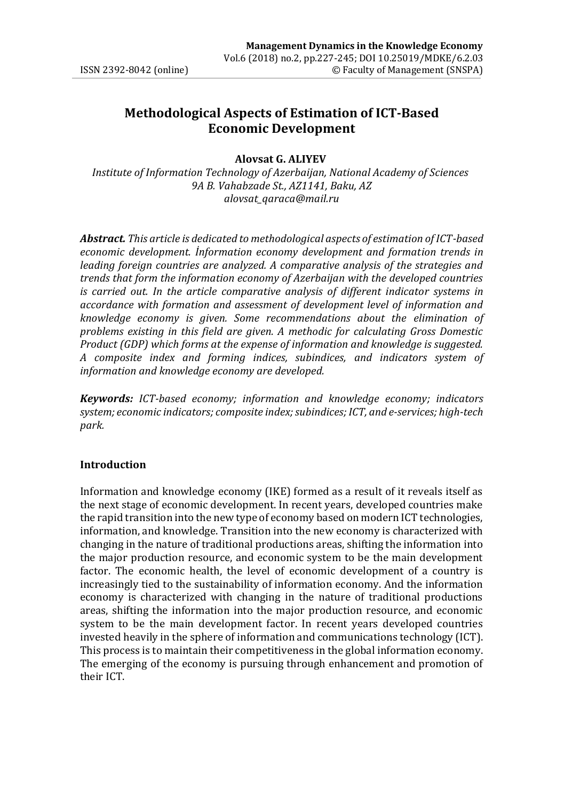## **Methodological Aspects of Estimation of ICT-Based Economic Development**

#### **Alovsat G. ALIYEV**

*Institute of Information Technology of Azerbaijan, National Academy of Sciences 9A B. Vahabzade St., AZ1141, Baku, AZ [alovsat\\_qaraca@mail.ru](mailto:alovsat_qaraca@mail.ru)* 

*information and knowledge economy are developed. Abstract. This article is dedicated to methodological aspects of estimation of ICT-based economic development. İnformation economy development and formation trends in leading foreign countries are analyzed. A comparative analysis of the strategies and trends that form the information economy of Azerbaijan with the developed countries*  is carried out. In the article comparative analysis of different indicator systems in *accordance with formation and assessment of development level of information and knowledge economy is given. Some recommendations about the elimination of problems existing in this field are given. A methodic for calculating Gross Domestic Product (GDP) which forms at the expense of information and knowledge is suggested. A composite index and forming indices, subindices, and indicators system of* 

*Keywords: ICT-based economy; information and knowledge economy; indicators system; economic indicators; composite index;subindices; ICT, and e-services; high-tech park.*

#### **Introduction**

Information and knowledge economy (IKE) formed as a result of it reveals itself as the next stage of economic development. In recent years, developed countries make the rapid transition into the new type of economy based on modern ICT technologies, information, and knowledge. Transition into the new economy is characterized with changing in the nature of traditional productions areas, shifting the information into the major production resource, and economic system to be the main development factor. The economic health, the level of economic development of a country is increasingly tied to the sustainability of information economy. And the information economy is characterized with changing in the nature of traditional productions areas, shifting the information into the major production resource, and economic system to be the main development factor. In recent years developed countries invested heavily in the sphere of information and communications technology (ICT). This process is to maintain their competitiveness in the global information economy. The emerging of the economy is pursuing through enhancement and promotion of their ICT.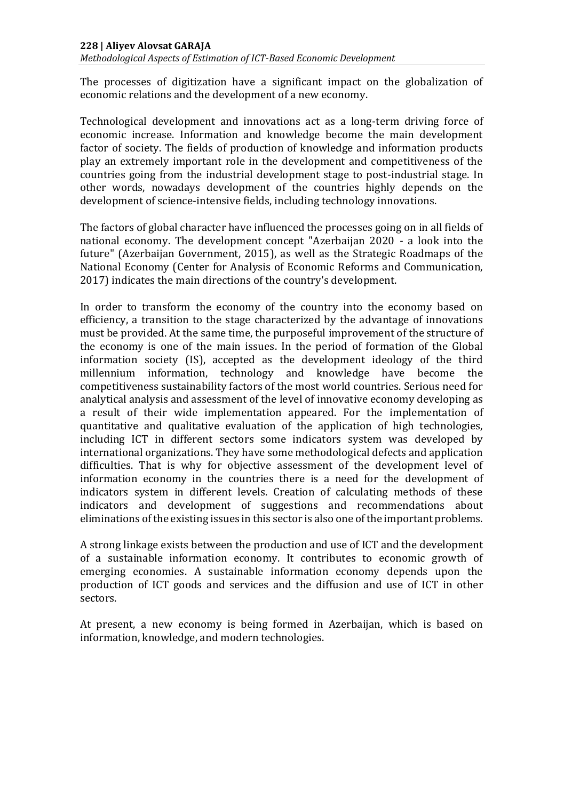*Methodological Aspects of Estimation of ICT-Based Economic Development*

The processes of digitization have a significant impact on the globalization of economic relations and the development of a new economy.

Technological development and innovations act as a long-term driving force of economic increase. Information and knowledge become the main development factor of society. The fields of production of knowledge and information products play an extremely important role in the development and competitiveness of the countries going from the industrial development stage to post-industrial stage. In other words, nowadays development of the countries highly depends on the development of science-intensive fields, including technology innovations.

The factors of global character have influenced the processes going on in all fields of national economy. The development concept "Azerbaijan 2020 - a look into the future" (Azerbaijan Government, 2015), as well as the Strategic Roadmaps of the National Economy (Center for Analysis of Economic Reforms and Communication, 2017) indicates the main directions of the country's development.

In order to transform the economy of the country into the economy based on efficiency, a transition to the stage characterized by the advantage of innovations must be provided. At the same time, the purposeful improvement of the structure of the economy is one of the main issues. In the period of formation of the Global information society (IS), accepted as the development ideology of the third millennium information, technology and knowledge have become the competitiveness sustainability factors of the most world countries. Serious need for analytical analysis and assessment of the level of innovative economy developing as a result of their wide implementation appeared. For the implementation of quantitative and qualitative evaluation of the application of high technologies, including ICT in different sectors some indicators system was developed by international organizations. They have some methodological defects and application difficulties. That is why for objective assessment of the development level of information economy in the countries there is a need for the development of indicators system in different levels. Creation of calculating methods of these indicators and development of suggestions and recommendations about eliminations of the existing issues in this sector is also one of the important problems.

A strong linkage exists between the production and use of ICT and the development of a sustainable information economy. It contributes to economic growth of emerging economies. A sustainable information economy depends upon the production of ICT goods and services and the diffusion and use of ICT in other sectors.

At present, a new economy is being formed in Azerbaijan, which is based on information, knowledge, and modern technologies.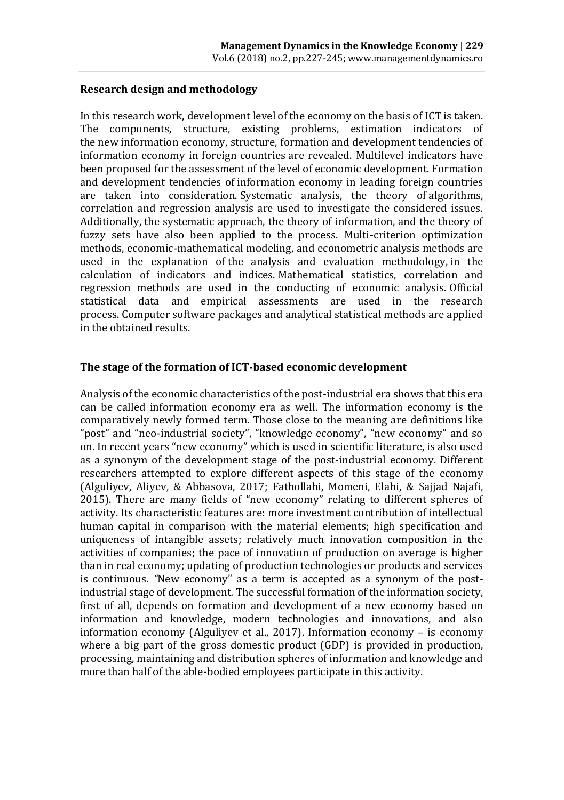#### **Research design and methodology**

In this research work, development level of the economy on the basis of ICT is taken. The components, structure, existing problems, estimation indicators of the new information economy, structure, formation and development tendencies of information economy in foreign countries are revealed. Multilevel indicators have been proposed for the assessment of the level of economic development. Formation and development tendencies of information economy in leading foreign countries are taken into consideration. Systematic analysis, the theory of algorithms, correlation and regression analysis are used to investigate the considered issues. Additionally, the systematic approach, the theory of information, and the theory of fuzzy sets have also been applied to the process. Multi-criterion optimization methods, economic-mathematical modeling, and econometric analysis methods are used in the explanation of the analysis and evaluation methodology, in the calculation of indicators and indices. Mathematical statistics, correlation and regression methods are used in the conducting of economic analysis. Official statistical data and empirical assessments are used in the research process. Computer software packages and analytical statistical methods are applied in the obtained results.

#### **The stage of the formation of ICT-based economic development**

Analysis of the economic characteristics of the post-industrial era shows that this era can be called information economy era as well. The information economy is the comparatively newly formed term. Those close to the meaning are definitions like "post" and "neo-industrial society", "knowledge economy", "new economy" and so on. In recent years "new economy" which is used in scientific literature, is also used as a synonym of the development stage of the post-industrial economy. Different researchers attempted to explore different aspects of this stage of the economy (Alguliyev, Aliyev, & Abbasova, 2017; Fathollahi, Momeni, Elahi, & Sajjad Najafi, 2015). There are many fields of "new economy" relating to different spheres of activity. Its characteristic features are: more investment contribution of intellectual human capital in comparison with the material elements; high specification and uniqueness of intangible assets; relatively much innovation composition in the activities of companies; the pace of innovation of production on average is higher than in real economy; updating of production technologies or products and services is continuous. *"*New economy" as a term is accepted as a synonym of the postindustrial stage of development*.* The successful formation of the information society, first of all, depends on formation and development of a new economy based on information and knowledge, modern technologies and innovations, and also information economy (Alguliyev et al., 2017). Information economy – is economy where a big part of the gross domestic product (GDP) is provided in production, processing, maintaining and distribution spheres of information and knowledge and more than half of the able-bodied employees participate in this activity.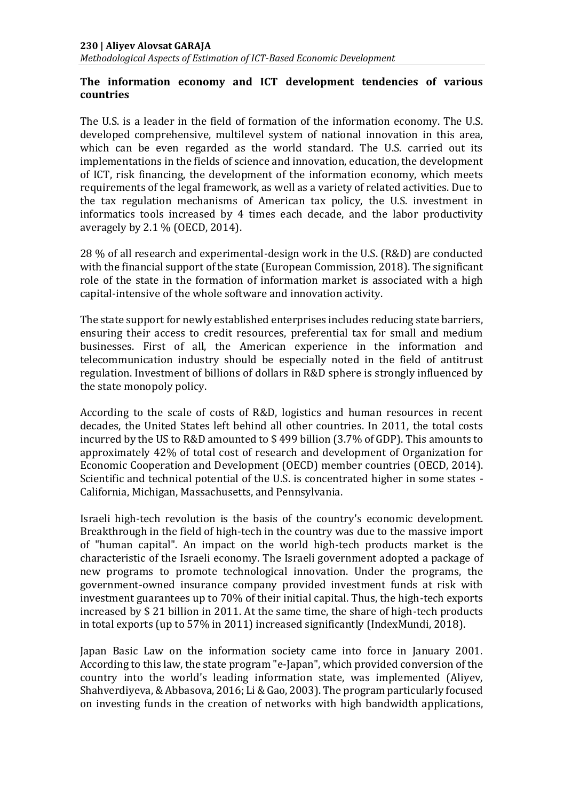*Methodological Aspects of Estimation of ICT-Based Economic Development*

#### **The information economy and ICT development tendencies of various countries**

The U.S. is a leader in the field of formation of the information economy. The U.S. developed comprehensive, multilevel system of national innovation in this area, which can be even regarded as the world standard. The U.S. carried out its implementations in the fields of science and innovation, education, the development of ICT, risk financing, the development of the information economy, which meets requirements of the legal framework, as well as a variety of related activities. Due to the tax regulation mechanisms of American tax policy, the U.S. investment in informatics tools increased by 4 times each decade, and the labor productivity averagely by 2.1 % [\(OECD,](http://www.oecd.org/sti/global-forum-knowledge-economy) 2014).

28 % of all research and experimental-design work in the U.S. (R&D) are conducted with the financial support of the state (European Commission, 2018). The significant role of the state in the formation of information market is associated with a high capital-intensive of the whole software and innovation activity.

The state support for newly established enterprises includes reducing state barriers, ensuring their access to credit resources, preferential tax for small and medium businesses. First of all, the American experience in the information and telecommunication industry should be especially noted in the field of antitrust regulation. Investment of billions of dollars in R&D sphere is strongly influenced by the state monopoly policy.

According to the scale of costs of R&D, logistics and human resources in recent decades, the United States left behind all other countries. In 2011, the total costs incurred by the US to R&D amounted to \$ 499 billion (3.7% of GDP). This amounts to approximately 42% of total cost of research and development of Organization for Economic Cooperation and Development (OECD) member countries (OECD, 2014). Scientific and technical potential of the U.S. is concentrated higher in some states - California, Michigan, Massachusetts, and Pennsylvania.

Israeli high-tech revolution is the basis of the country's economic development. Breakthrough in the field of high-tech in the country was due to the massive import of "human capital". An impact on the world high-tech products market is the characteristic of the Israeli economy. The Israeli government adopted a package of new programs to promote technological innovation. Under the programs, the government-owned insurance company provided investment funds at risk with investment guarantees up to 70% of their initial capital. Thus, the high-tech exports increased by \$ 21 billion in 2011. At the same time, the share of high-tech products in total exports (up to 57% in 2011) increased significantly (IndexMundi, 2018).

Japan Basic Law on the information society came into force in January 2001. According to this law, the state program "e-Japan", which provided conversion of the country into the world's leading information state, was implemented (Aliyev, Shahverdiyeva, & Abbasova, 2016; Li & Gao, 2003). The program particularly focused on investing funds in the creation of networks with high bandwidth applications,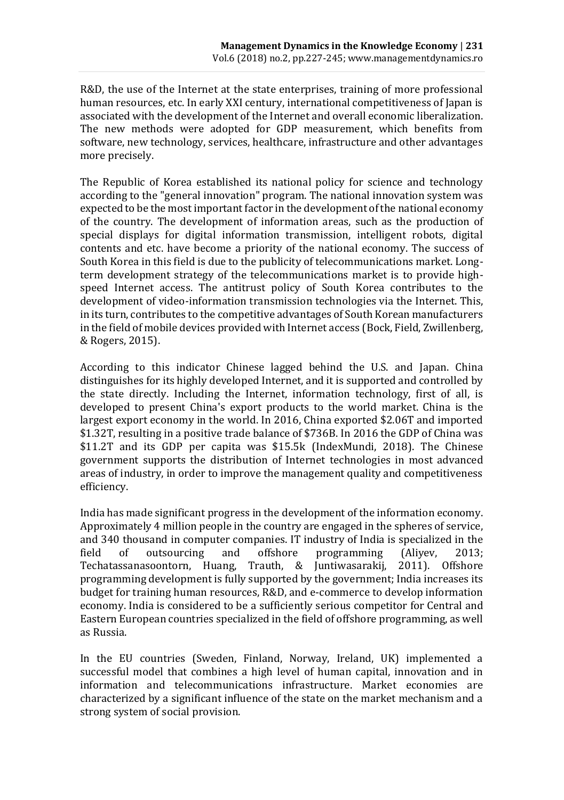R&D, the use of the Internet at the state enterprises, training of more professional human resources, etc. In early XXI century, international competitiveness of Japan is associated with the development of the Internet and overall economic liberalization. The new methods were adopted for GDP measurement, which benefits from software, new technology, services, healthcare, infrastructure and other advantages more precisely.

The Republic of Korea established its national policy for science and technology according to the "general innovation" program. The national innovation system was expected to be the most important factor in the development of the national economy of the country. The development of information areas, such as the production of special displays for digital information transmission, intelligent robots, digital contents and etc. have become a priority of the national economy. The success of South Korea in this field is due to the publicity of telecommunications market. Longterm development strategy of the telecommunications market is to provide highspeed Internet access. The antitrust policy of South Korea contributes to the development of video-information transmission technologies via the Internet. This, in its turn, contributes to the competitive advantages of South Korean manufacturers in the field of mobile devices provided with Internet access (Bock, Field, Zwillenberg, & Rogers, 2015).

According to this indicator Chinese lagged behind the U.S. and Japan. China distinguishes for its highly developed Internet, and it is supported and controlled by the state directly. Including the Internet, information technology, first of all, is developed to present China's export products to the world market. China is the largest export economy in the world. In 2016, China exported \$2.06T and imported \$1.32T, resulting in a positive trade balance of \$736B. In 2016 the GDP of China was \$11.2T and its GDP per capita was \$15.5k (IndexMundi, 2018). The Chinese government supports the distribution of Internet technologies in most advanced areas of industry, in order to improve the management quality and competitiveness efficiency.

India has made significant progress in the development of the information economy. Approximately 4 million people in the country are engaged in the spheres of service, and 340 thousand in computer companies. IT industry of India is specialized in the field of outsourcing and offshore programming (Aliyev, 2013; Techatassanasoontorn, Huang, Trauth, & Juntiwasarakij, 2011). Offshore programming development is fully supported by the government; India increases its budget for training human resources, R&D, and e-commerce to develop information economy. India is considered to be a sufficiently serious competitor for Central and Eastern European countries specialized in the field of offshore programming, as well as Russia.

In the EU countries (Sweden, Finland, Norway, Ireland, UK) implemented a successful model that combines a high level of human capital, innovation and in information and telecommunications infrastructure. Market economies are characterized by a significant influence of the state on the market mechanism and a strong system of social provision.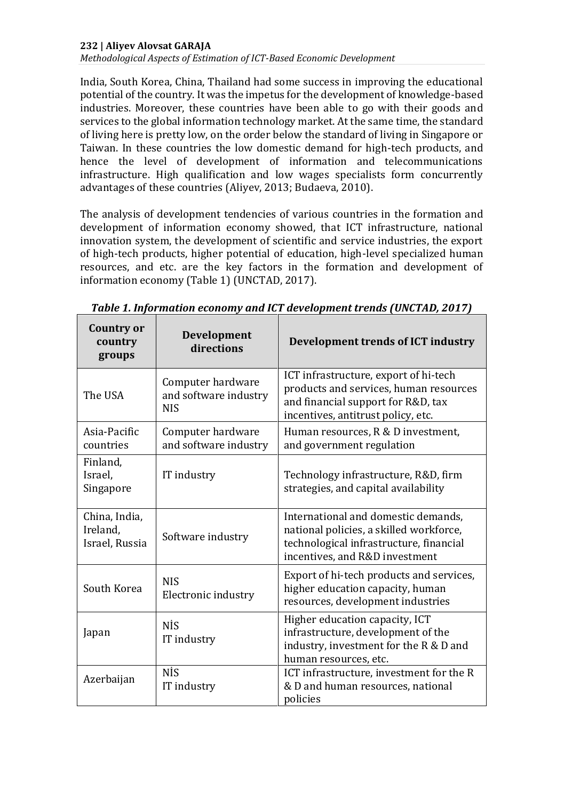*Methodological Aspects of Estimation of ICT-Based Economic Development*

India, South Korea, China, Thailand had some success in improving the educational potential of the country. It was the impetus for the development of knowledge-based industries. Moreover, these countries have been able to go with their goods and services to the global information technology market. At the same time, the standard of living here is pretty low, on the order below the standard of living in Singapore or Taiwan. In these countries the low domestic demand for high-tech products, and hence the level of development of information and telecommunications infrastructure. High qualification and low wages specialists form concurrently advantages of these countries (Aliyev, 2013; Budaeva, 2010).

The analysis of development tendencies of various countries in the formation and development of information economy showed, that ICT infrastructure, national innovation system, the development of scientific and service industries, the export of high-tech products, higher potential of education, high-level specialized human resources, and etc. are the key factors in the formation and development of information economy (Table 1) (UNCTAD, 2017).

| <b>Country or</b><br>country<br>groups      | Development<br>directions                                | Development trends of ICT industry                                                                                                                          |
|---------------------------------------------|----------------------------------------------------------|-------------------------------------------------------------------------------------------------------------------------------------------------------------|
| The USA                                     | Computer hardware<br>and software industry<br><b>NIS</b> | ICT infrastructure, export of hi-tech<br>products and services, human resources<br>and financial support for R&D, tax<br>incentives, antitrust policy, etc. |
| Asia-Pacific<br>countries                   | Computer hardware<br>and software industry               | Human resources, R & D investment,<br>and government regulation                                                                                             |
| Finland,<br>Israel,<br>Singapore            | IT industry                                              | Technology infrastructure, R&D, firm<br>strategies, and capital availability                                                                                |
| China, India,<br>Ireland,<br>Israel, Russia | Software industry                                        | International and domestic demands,<br>national policies, a skilled workforce,<br>technological infrastructure, financial<br>incentives, and R&D investment |
| South Korea                                 | <b>NIS</b><br>Electronic industry                        | Export of hi-tech products and services,<br>higher education capacity, human<br>resources, development industries                                           |
| Japan                                       | NİS<br>IT industry                                       | Higher education capacity, ICT<br>infrastructure, development of the<br>industry, investment for the R & D and<br>human resources, etc.                     |
| Azerbaijan                                  | NİS<br>IT industry                                       | ICT infrastructure, investment for the R<br>& D and human resources, national<br>policies                                                                   |

*Table 1. Information economy and ICT development trends (UNCTAD, 2017)*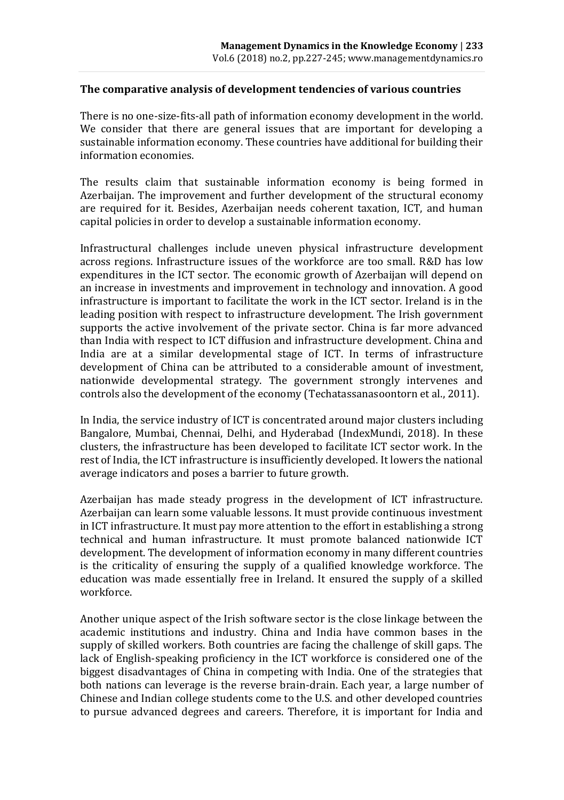#### **The comparative analysis of development tendencies of various countries**

There is no one-size-fits-all path of information economy development in the world. We consider that there are general issues that are important for developing a sustainable information economy. These countries have additional for building their information economies.

The results claim that sustainable information economy is being formed in Azerbaijan. The improvement and further development of the structural economy are required for it. Besides, Azerbaijan needs coherent taxation, ICT, and human capital policies in order to develop a sustainable information economy.

Infrastructural challenges include uneven physical infrastructure development across regions. Infrastructure issues of the workforce are too small. R&D has low expenditures in the ICT sector. The economic growth of Azerbaijan will depend on an increase in investments and improvement in technology and innovation. A good infrastructure is important to facilitate the work in the ICT sector. Ireland is in the leading position with respect to infrastructure development. The Irish government supports the active involvement of the private sector. China is far more advanced than India with respect to ICT diffusion and infrastructure development. China and India are at a similar developmental stage of ICT. In terms of infrastructure development of China can be attributed to a considerable amount of investment, nationwide developmental strategy. The government strongly intervenes and controls also the development of the economy (Techatassanasoontorn et al., 2011).

In India, the service industry of ICT is concentrated around major clusters including Bangalore, Mumbai, Chennai, Delhi, and Hyderabad (IndexMundi, 2018). In these clusters, the infrastructure has been developed to facilitate ICT sector work. In the rest of India, the ICT infrastructure is insufficiently developed. It lowers the national average indicators and poses a barrier to future growth.

Azerbaijan has made steady progress in the development of ICT infrastructure. Azerbaijan can learn some valuable lessons. It must provide continuous investment in ICT infrastructure. It must pay more attention to the effort in establishing a strong technical and human infrastructure. It must promote balanced nationwide ICT development. The development of information economy in many different countries is the criticality of ensuring the supply of a qualified knowledge workforce. The education was made essentially free in Ireland. It ensured the supply of a skilled workforce.

Another unique aspect of the Irish software sector is the close linkage between the academic institutions and industry. China and India have common bases in the supply of skilled workers. Both countries are facing the challenge of skill gaps. The lack of English-speaking proficiency in the ICT workforce is considered one of the biggest disadvantages of China in competing with India. One of the strategies that both nations can leverage is the reverse brain-drain. Each year, a large number of Chinese and Indian college students come to the U.S. and other developed countries to pursue advanced degrees and careers. Therefore, it is important for India and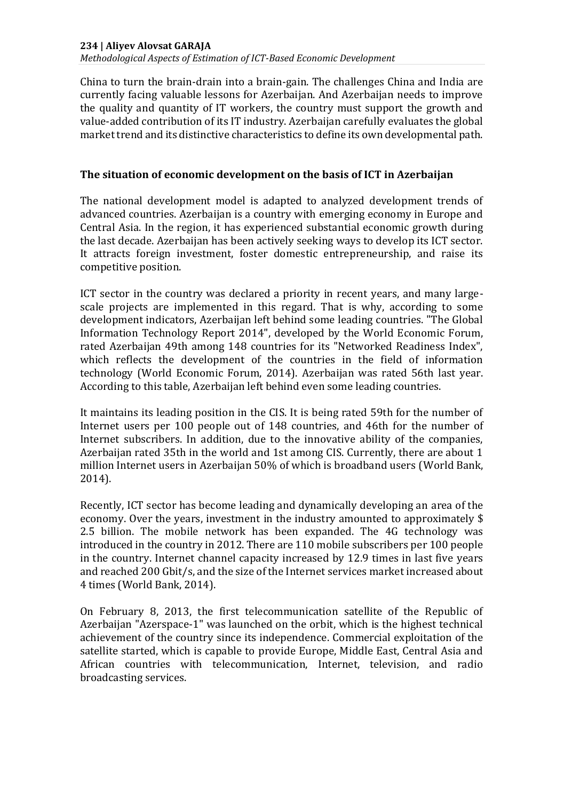*Methodological Aspects of Estimation of ICT-Based Economic Development*

China to turn the brain-drain into a brain-gain. The challenges China and India are currently facing valuable lessons for Azerbaijan. And Azerbaijan needs to improve the quality and quantity of IT workers, the country must support the growth and value-added contribution of its IT industry. Azerbaijan carefully evaluates the global market trend and its distinctive characteristics to define its own developmental path.

#### **The situation of economic development on the basis of ICT in Azerbaijan**

The national development model is adapted to analyzed development trends of advanced countries. Azerbaijan is a country with emerging economy in Europe and Central Asia. In the region, it has experienced substantial economic growth during the last decade. Azerbaijan has been actively seeking ways to develop its ICT sector. It attracts foreign investment, foster domestic entrepreneurship, and raise its competitive position.

ICT sector in the country was declared a priority in recent years, and many largescale projects are implemented in this regard. That is why, according to some development indicators, Azerbaijan left behind some leading countries. "The Global Information Technology Report 2014", developed by the World Economic Forum, rated Azerbaijan 49th among 148 countries for its "Networked Readiness Index", which reflects the development of the countries in the field of information technology (World Economic Forum, 2014). Azerbaijan was rated 56th last year. According to this table, Azerbaijan left behind even some leading countries.

It maintains its leading position in the CIS. It is being rated 59th for the number of Internet users per 100 people out of 148 countries, and 46th for the number of Internet subscribers. In addition, due to the innovative ability of the companies, Azerbaijan rated 35th in the world and 1st among CIS. Currently, there are about 1 million Internet users in Azerbaijan 50% of which is broadband users (World Bank, 2014).

Recently, ICT sector has become leading and dynamically developing an area of the economy. Over the years, investment in the industry amounted to approximately \$ 2.5 billion. The mobile network has been expanded. The 4G technology was introduced in the country in 2012. There are 110 mobile subscribers per 100 people in the country. Internet channel capacity increased by 12.9 times in last five years and reached 200 Gbit/s, and the size of the Internet services market increased about 4 times (World Bank, 2014).

On February 8, 2013, the first telecommunication satellite of the Republic of Azerbaijan "Azerspace-1" was launched on the orbit, which is the highest technical achievement of the country since its independence. Commercial exploitation of the satellite started, which is capable to provide Europe, Middle East, Central Asia and African countries with telecommunication, Internet, television, and radio broadcasting services.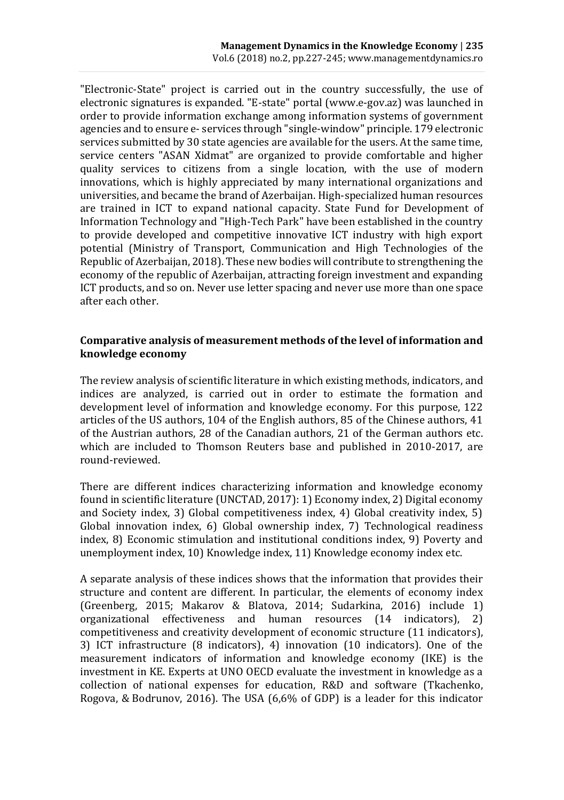"Electronic-State" project is carried out in the country successfully, the use of electronic signatures is expanded. "E-state" portal (www.e-gov.az) was launched in order to provide information exchange among information systems of government agencies and to ensure e- services through "single-window" principle. 179 electronic services submitted by 30 state agencies are available for the users. At the same time, service centers "ASAN Xidmat" are organized to provide comfortable and higher quality services to citizens from a single location, with the use of modern innovations, which is highly appreciated by many international organizations and universities, and became the brand of Azerbaijan. High-specialized human resources are trained in ICT to expand national capacity. State Fund for Development of Information Technology and "High-Tech Park" have been established in the country to provide developed and competitive innovative ICT industry with high export potential (Ministry of Transport, Communication and High Technologies of the Republic of Azerbaijan, 2018). These new bodies will contribute to strengthening the economy of the republic of Azerbaijan, attracting foreign investment and expanding ICT products, and so on. Never use letter spacing and never use more than one space after each other.

#### **Comparative analysis of measurement methods of the level of information and knowledge economy**

The review analysis of scientific literature in which existing methods, indicators, and indices are analyzed, is carried out in order to estimate the formation and development level of information and knowledge economy. For this purpose, 122 articles of the US authors, 104 of the English authors, 85 of the Chinese authors, 41 of the Austrian authors, 28 of the Canadian authors, 21 of the German authors etc. which are included to Thomson Reuters base and published in 2010-2017, are round-reviewed.

There are different indices characterizing information and knowledge economy found in scientific literature (UNCTAD, 2017): 1) Economy index, 2) Digital economy and Society index, 3) Global competitiveness index, 4) Global creativity index, 5) Global innovation index, 6) Global ownership index, 7) Technological readiness index, 8) Economic stimulation and institutional conditions index, 9) Poverty and unemployment index, 10) Knowledge index, 11) Knowledge economy index etc.

A separate analysis of these indices shows that the information that provides their structure and content are different. In particular, the elements of economy index (Greenberg, 2015; Makarov & Blatova, 2014; Sudarkina, 2016) include 1) organizational effectiveness and human resources (14 indicators), 2) competitiveness and creativity development of economic structure (11 indicators), 3) ICT infrastructure (8 indicators), 4) innovation (10 indicators). One of the measurement indicators of information and knowledge economy (IKE) is the investment in KE. Experts at UNO OECD evaluate the investment in knowledge as a collection of national expenses for education, R&D and software (Tkachenko, Rogova, & Bodrunov, 2016). The USA (6,6% of GDP) is a leader for this indicator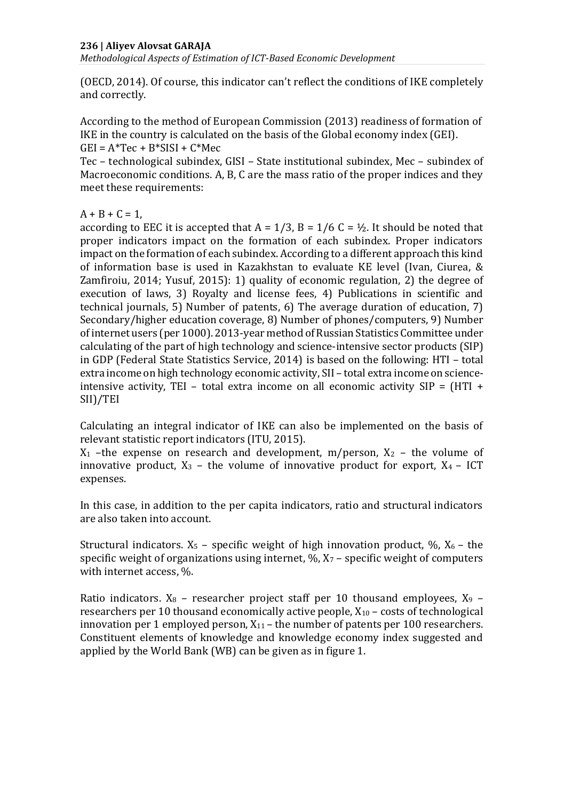*Methodological Aspects of Estimation of ICT-Based Economic Development*

[\(OECD,](http://www.oecd.org/sti/global-forum-knowledge-economy) 2014). Of course, this indicator can't reflect the conditions of IKE completely and correctly.

According to the method of European Commission (2013) readiness of formation of IKE in the country is calculated on the basis of the Global economy index (GEI).  $GEI = A*TeC + B*SISI + C*MeC$ 

Tec – technological subindex, GISI – State institutional subindex, Mec – subindex of Macroeconomic conditions. A, B, C are the mass ratio of the proper indices and they meet these requirements:

 $A + B + C = 1$ ,

according to EEC it is accepted that  $A = 1/3$ ,  $B = 1/6$  C =  $\frac{1}{2}$ . It should be noted that proper indicators impact on the formation of each subindex. Proper indicators impact on the formation of each subindex. According to a different approach this kind of information base is used in Kazakhstan to evaluate KE level (Ivan, Ciurea, & Zamfiroiu, 2014; Yusuf, 2015): 1) quality of economic regulation, 2) the degree of execution of laws, 3) Royalty and license fees, 4) Publications in scientific and technical journals, 5) Number of patents, 6) The average duration of education, 7) Secondary/higher education coverage, 8) Number of phones/computers, 9) Number of internet users (per 1000). 2013-year method of Russian Statistics Committee under calculating of the part of high technology and science-intensive sector products (SIP) in GDP (Federal State Statistics Service, 2014) is based on the following: HTI – total extra income on high technology economic activity, SII – total extra income on scienceintensive activity, TEI – total extra income on all economic activity  $SIP = (HTI +$ SII)/TEI

Calculating an integral indicator of IKE can also be implemented on the basis of relevant statistic report indicators (ITU, 2015).

 $X_1$  –the expense on research and development, m/person,  $X_2$  – the volume of innovative product,  $X_3$  – the volume of innovative product for export,  $X_4$  – ICT expenses.

In this case, in addition to the per capita indicators, ratio and structural indicators are also taken into account.

Structural indicators.  $X_5$  – specific weight of high innovation product,  $\%$ ,  $X_6$  – the specific weight of organizations using internet,  $\frac{1}{2}$ ,  $X_7$  – specific weight of computers with internet access, %.

Ratio indicators.  $X_8$  – researcher project staff per 10 thousand employees,  $X_9$  – researchers per 10 thousand economically active people,  $X_{10}$  – costs of technological innovation per 1 employed person,  $X_{11}$  – the number of patents per 100 researchers. Constituent elements of knowledge and knowledge economy index suggested and applied by the World Bank (WB) can be given as in figure 1.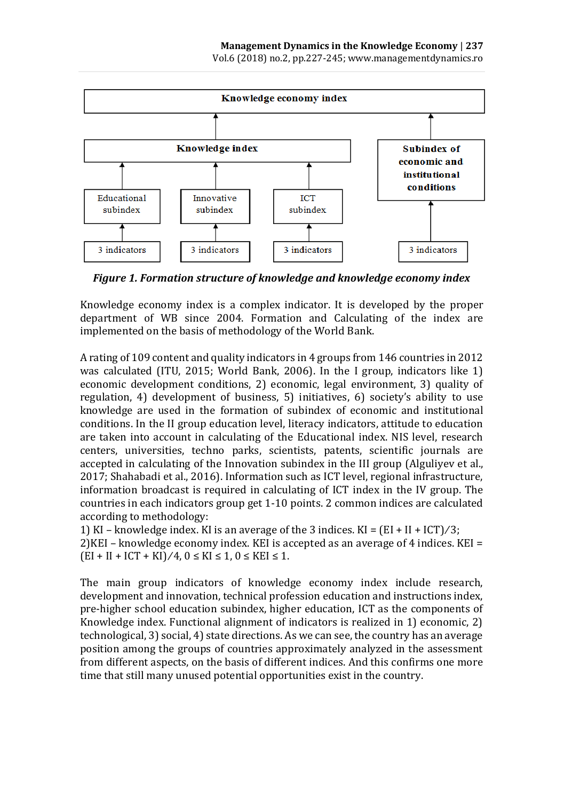

*Figure 1. Formation structure of knowledge and knowledge economy index*

Knowledge economy index is a complex indicator. It is developed by the proper department of WB since 2004. Formation and Calculating of the index are implemented on the basis of methodology of the World Bank.

A rating of 109 content and quality indicators in 4 groups from 146 countries in 2012 was calculated (ITU, 2015; World Bank, 2006). In the I group, indicators like 1) economic development conditions, 2) economic, legal environment, 3) quality of regulation, 4) development of business, 5) initiatives, 6) society's ability to use knowledge are used in the formation of subindex of economic and institutional conditions. In the II group education level, literacy indicators, attitude to education are taken into account in calculating of the Educational index. NIS level, research centers, universities, techno parks, scientists, patents, scientific journals are accepted in calculating of the Innovation subindex in the III group (Alguliyev et al., 2017; Shahabadi et al., 2016). Information such as ICT level, regional infrastructure, information broadcast is required in calculating of ICT index in the IV group. The countries in each indicators group get 1-10 points. 2 common indices are calculated according to methodology:

1) KI – knowledge index. KI is an average of the 3 indices. KI =  $(EI + II + ICT)/3$ ; 2) $KEI$  – knowledge economy index. KEI is accepted as an average of 4 indices. KEI =  $(EI + II + ICT + KI)/4, 0 \leq KI \leq 1, 0 \leq KEI \leq 1.$ 

The main group indicators of knowledge economy index include research, development and innovation, technical profession education and instructions index, pre-higher school education subindex, higher education, ICT as the components of Knowledge index. Functional alignment of indicators is realized in 1) economic, 2) technological, 3) social, 4) state directions. As we can see, the country has an average position among the groups of countries approximately analyzed in the assessment from different aspects, on the basis of different indices. And this confirms one more time that still many unused potential opportunities exist in the country.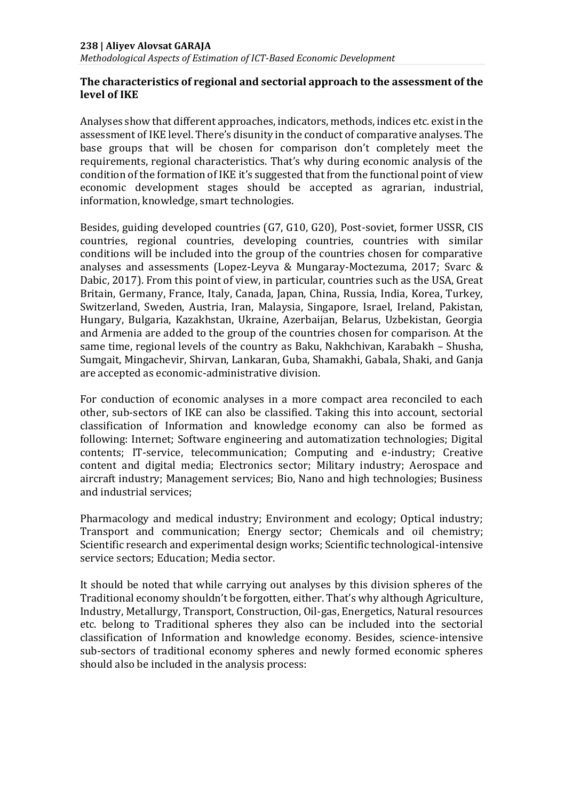#### **The characteristics of regional and sectorial approach to the assessment of the level of IKE**

Analyses show that different approaches, indicators, methods, indices etc. exist in the assessment of IKE level. There's disunity in the conduct of comparative analyses. The base groups that will be chosen for comparison don't completely meet the requirements, regional characteristics. That's why during economic analysis of the condition of the formation of IKE it's suggested that from the functional point of view economic development stages should be accepted as agrarian, industrial, information, knowledge, smart technologies.

Besides, guiding developed countries (G7, G10, G20), Post-soviet, former USSR, CIS countries, regional countries, developing countries, countries with similar conditions will be included into the group of the countries chosen for comparative analyses and assessments (Lopez-Leyva & Mungaray-Moctezuma, 2017; Svarc & Dabic, 2017). From this point of view, in particular, countries such as the USA, Great Britain, Germany, France, Italy, Canada, Japan, China, Russia, India, Korea, Turkey, Switzerland, Sweden, Austria, Iran, Malaysia, Singapore, Israel, Ireland, Pakistan, Hungary, Bulgaria, Kazakhstan, Ukraine, Azerbaijan, Belarus, Uzbekistan, Georgia and Armenia are added to the group of the countries chosen for comparison. At the same time, regional levels of the country as Baku, Nakhchivan, Karabakh – Shusha, Sumgait, Mingachevir, Shirvan, Lankaran, Guba, Shamakhi, Gabala, Shaki, and Ganja are accepted as economic-administrative division.

For conduction of economic analyses in a more compact area reconciled to each other, sub-sectors of IKE can also be classified. Taking this into account, sectorial classification of Information and knowledge economy can also be formed as following: Internet; Software engineering and automatization technologies; Digital contents; IT-service, telecommunication; Computing and e-industry; Creative content and digital media; Electronics sector; Military industry; Aerospace and aircraft industry; Management services; Bio, Nano and high technologies; Business and industrial services;

Pharmacology and medical industry; Environment and ecology; Optical industry; Transport and communication; Energy sector; Chemicals and oil chemistry; Scientific research and experimental design works; Scientific technological-intensive service sectors; Education; Media sector.

It should be noted that while carrying out analyses by this division spheres of the Traditional economy shouldn't be forgotten, either. That's why although Agriculture, Industry, Metallurgy, Transport, Construction, Oil-gas, Energetics, Natural resources etc. belong to Traditional spheres they also can be included into the sectorial classification of Information and knowledge economy. Besides, science-intensive sub-sectors of traditional economy spheres and newly formed economic spheres should also be included in the analysis process: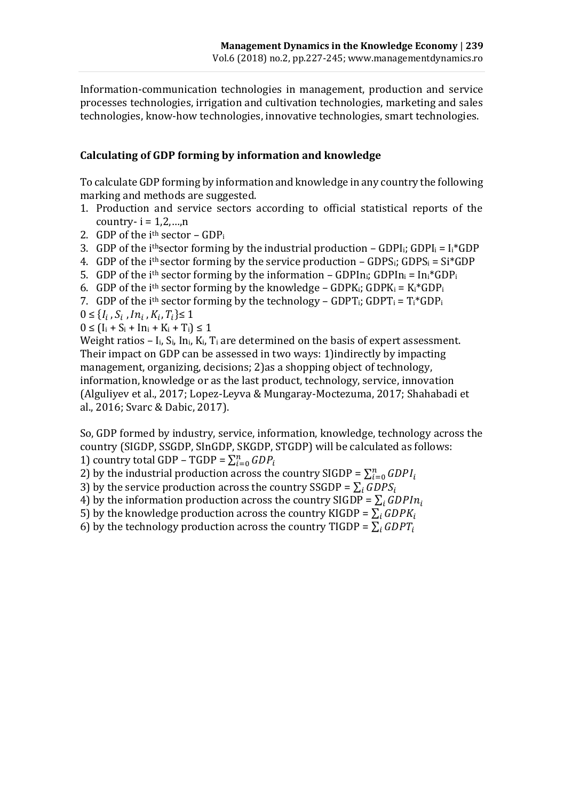Information-communication technologies in management, production and service processes technologies, irrigation and cultivation technologies, marketing and sales technologies, know-how technologies, innovative technologies, smart technologies.

#### **Calculating of GDP forming by information and knowledge**

To calculate GDP forming by information and knowledge in any country the following marking and methods are suggested.

- 1. Production and service sectors according to official statistical reports of the country- $i = 1, 2, \ldots, n$
- 2. GDP of the  $i<sup>th</sup> sector GDP<sub>i</sub>$
- 3. GDP of the i<sup>th</sup>sector forming by the industrial production GDPI<sub>i</sub>; GDPI<sub>i</sub> = I<sub>i</sub>\*GDP
- 4. GDP of the i<sup>th</sup> sector forming by the service production GDPS<sub>i</sub>; GDPS<sub>i</sub> = Si<sup>\*</sup>GDP
- 5. GDP of the i<sup>th</sup> sector forming by the information GDPIn<sub>i</sub>; GDPIn<sub>i</sub> = In<sub>i</sub>\*GDP<sub>i</sub>
- 6. GDP of the i<sup>th</sup> sector forming by the knowledge GDPK<sub>i</sub>; GDPK<sub>i</sub> = K<sub>i</sub>\*GDP<sub>i</sub>
- 7. GDP of the i<sup>th</sup> sector forming by the technology GDPT<sub>i</sub>; GDPT<sub>i</sub> =  $T_i$ <sup>\*</sup>GDP<sub>i</sub>

$$
0\leq \{I_i\,,S_i\,,In_i\,,K_i,T_i\}\leq 1
$$

 $0 \leq (I_i + S_i + In_i + K_i + T_i) \leq 1$ 

Weight ratios –  $I_i$ ,  $S_i$ ,  $In_i$ ,  $K_i$ ,  $T_i$  are determined on the basis of expert assessment. Their impact on GDP can be assessed in two ways: 1)indirectly by impacting management, organizing, decisions; 2)as a shopping object of technology, information, knowledge or as the last product, technology, service, innovation (Alguliyev et al., 2017; Lopez-Leyva & Mungaray-Moctezuma, 2017; Shahabadi et al., 2016; Svarc & Dabic, 2017).

So, GDP formed by industry, service, information, knowledge, technology across the country (SIGDP, SSGDP, SInGDP, SKGDP, STGDP) will be calculated as follows: 1) country total GDP – TGDP =  $\sum_{i=0}^{n} GDP_i$ 

2) by the industrial production across the country SIGDP =  $\sum_{i=0}^{n} GDP_{i}$ 

3) by the service production across the country SSGDP =  $\sum_i GDPS_i$ 

4) by the information production across the country SIGDP =  $\sum_i GDPIn_i$ 

5) by the knowledge production across the country KIGDP =  $\sum_i GDPK_i$ 

6) by the technology production across the country TIGDP =  $\sum_i GDP_i$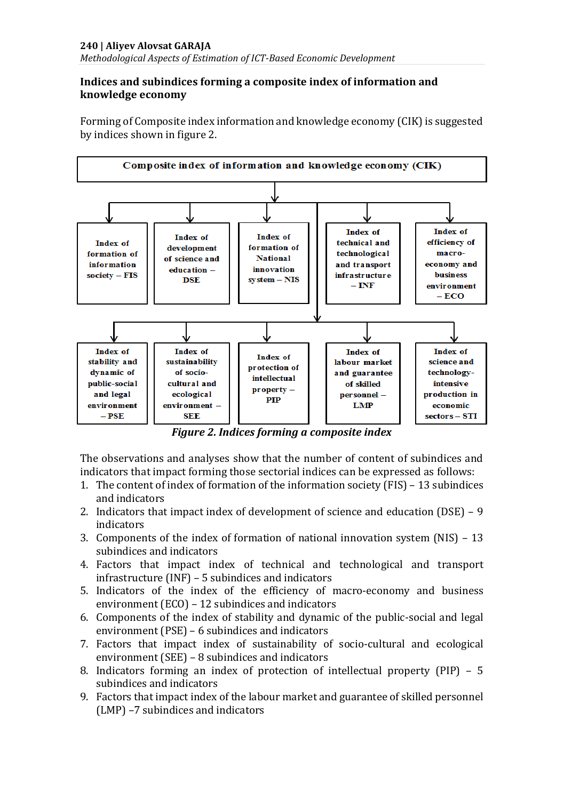#### **Indices and subindices forming a composite index of information and knowledge economy**

Forming of Composite index information and knowledge economy (CIK) is suggested by indices shown in figure 2.



*Figure 2. Indices forming a composite index*

The observations and analyses show that the number of content of subindices and indicators that impact forming those sectorial indices can be expressed as follows:

- 1. The content of index of formation of the information society (FIS) 13 subindices and indicators
- 2. Indicators that impact index of development of science and education (DSE) 9 indicators
- 3. Components of the index of formation of national innovation system (NIS) 13 subindices and indicators
- 4. Factors that impact index of technical and technological and transport infrastructure (INF) – 5 subindices and indicators
- 5. Indicators of the index of the efficiency of macro-economy and business environment (ECO) – 12 subindices and indicators
- 6. Components of the index of stability and dynamic of the public-social and legal environment (PSE) – 6 subindices and indicators
- 7. Factors that impact index of sustainability of socio-cultural and ecological environment (SEE) – 8 subindices and indicators
- 8. Indicators forming an index of protection of intellectual property (PIP) 5 subindices and indicators
- 9. Factors that impact index of the labour market and guarantee of skilled personnel (LMP) –7 subindices and indicators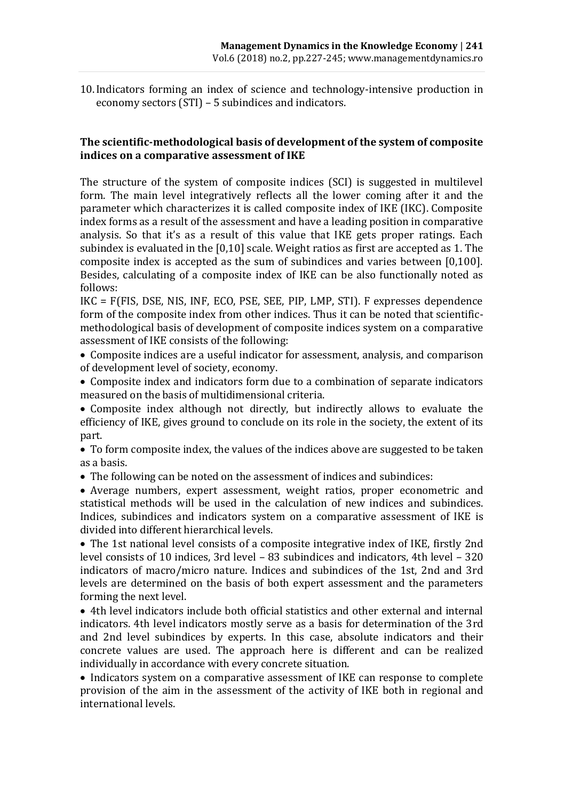10.Indicators forming an index of science and technology-intensive production in economy sectors (STI) – 5 subindices and indicators.

#### **The scientific-methodological basis of development of the system of composite indices on a comparative assessment of IKE**

The structure of the system of composite indices (SCI) is suggested in multilevel form. The main level integratively reflects all the lower coming after it and the parameter which characterizes it is called composite index of IKE (IKC). Composite index forms as a result of the assessment and have a leading position in comparative analysis. So that it's as a result of this value that IKE gets proper ratings. Each subindex is evaluated in the [0,10] scale. Weight ratios as first are accepted as 1. The composite index is accepted as the sum of subindices and varies between [0,100]. Besides, calculating of a composite index of IKE can be also functionally noted as follows:

IKC = F(FIS, DSE, NIS, INF, ECO, PSE, SEE, PIP, LMP, STI). F expresses dependence form of the composite index from other indices. Thus it can be noted that scientificmethodological basis of development of composite indices system on a comparative assessment of IKE consists of the following:

• Composite indices are a useful indicator for assessment, analysis, and comparison of development level of society, economy.

• Composite index and indicators form due to a combination of separate indicators measured on the basis of multidimensional criteria.

• Composite index although not directly, but indirectly allows to evaluate the efficiency of IKE, gives ground to conclude on its role in the society, the extent of its part.

• To form composite index, the values of the indices above are suggested to be taken as a basis.

• The following can be noted on the assessment of indices and subindices:

• Average numbers, expert assessment, weight ratios, proper econometric and statistical methods will be used in the calculation of new indices and subindices. Indices, subindices and indicators system on a comparative assessment of IKE is divided into different hierarchical levels.

• The 1st national level consists of a composite integrative index of IKE, firstly 2nd level consists of 10 indices, 3rd level – 83 subindices and indicators, 4th level – 320 indicators of macro/micro nature. Indices and subindices of the 1st, 2nd and 3rd levels are determined on the basis of both expert assessment and the parameters forming the next level.

• 4th level indicators include both official statistics and other external and internal indicators. 4th level indicators mostly serve as a basis for determination of the 3rd and 2nd level subindices by experts. In this case, absolute indicators and their concrete values are used. The approach here is different and can be realized individually in accordance with every concrete situation.

• Indicators system on a comparative assessment of IKE can response to complete provision of the aim in the assessment of the activity of IKE both in regional and international levels.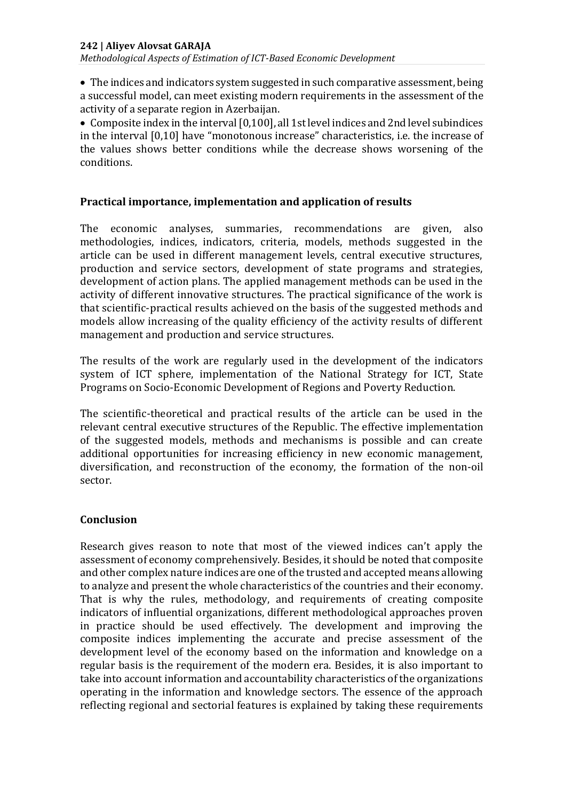• The indices and indicators system suggested in such comparative assessment, being a successful model, can meet existing modern requirements in the assessment of the activity of a separate region in Azerbaijan.

• Composite index in the interval [0,100], all 1st level indices and 2nd level subindices in the interval [0,10] have "monotonous increase" characteristics, i.e. the increase of the values shows better conditions while the decrease shows worsening of the conditions.

### **Practical importance, implementation and application of results**

The economic analyses, summaries, recommendations are given, also methodologies, indices, indicators, criteria, models, methods suggested in the article can be used in different management levels, central executive structures, production and service sectors, development of state programs and strategies, development of action plans. The applied management methods can be used in the activity of different innovative structures. The practical significance of the work is that scientific-practical results achieved on the basis of the suggested methods and models allow increasing of the quality efficiency of the activity results of different management and production and service structures.

The results of the work are regularly used in the development of the indicators system of ICT sphere, implementation of the National Strategy for ICT, State Programs on Socio-Economic Development of Regions and Poverty Reduction.

The scientific-theoretical and practical results of the article can be used in the relevant central executive structures of the Republic. The effective implementation of the suggested models, methods and mechanisms is possible and can create additional opportunities for increasing efficiency in new economic management, diversification, and reconstruction of the economy, the formation of the non-oil sector.

#### **Conclusion**

Research gives reason to note that most of the viewed indices can't apply the assessment of economy comprehensively. Besides, it should be noted that composite and other complex nature indices are one of the trusted and accepted means allowing to analyze and present the whole characteristics of the countries and their economy. That is why the rules, methodology, and requirements of creating composite indicators of influential organizations, different methodological approaches proven in practice should be used effectively. The development and improving the composite indices implementing the accurate and precise assessment of the development level of the economy based on the information and knowledge on a regular basis is the requirement of the modern era. Besides, it is also important to take into account information and accountability characteristics of the organizations operating in the information and knowledge sectors. The essence of the approach reflecting regional and sectorial features is explained by taking these requirements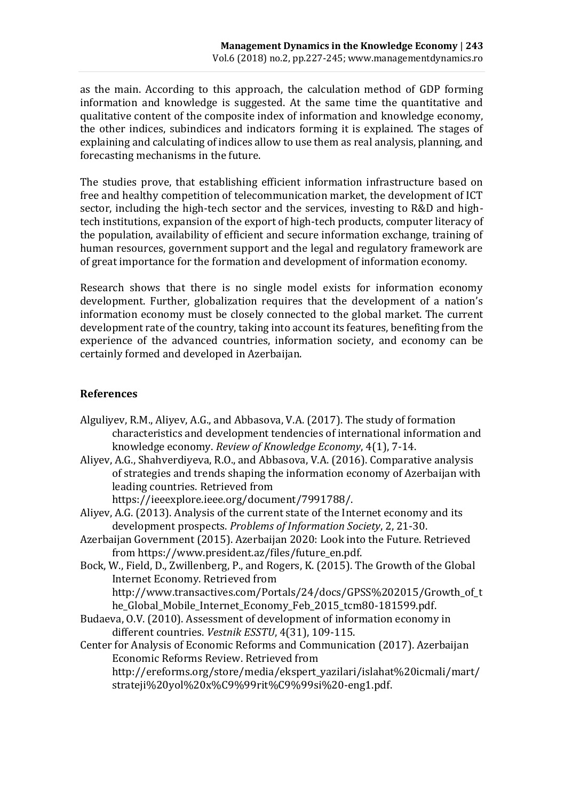as the main. According to this approach, the calculation method of GDP forming information and knowledge is suggested. At the same time the quantitative and qualitative content of the composite index of information and knowledge economy, the other indices, subindices and indicators forming it is explained. The stages of explaining and calculating of indices allow to use them as real analysis, planning, and forecasting mechanisms in the future.

The studies prove, that establishing efficient information infrastructure based on free and healthy competition of telecommunication market, the development of ICT sector, including the high-tech sector and the services, investing to R&D and hightech institutions, expansion of the export of high-tech products, computer literacy of the population, availability of efficient and secure information exchange, training of human resources, government support and the legal and regulatory framework are of great importance for the formation and development of information economy.

Research shows that there is no single model exists for information economy development. Further, globalization requires that the development of a nation's information economy must be closely connected to the global market. The current development rate of the country, taking into account its features, benefiting from the experience of the advanced countries, information society, and economy can be certainly formed and developed in Azerbaijan.

#### **References**

- Alguliyev, R.M., Aliyev, A.G., and Abbasova, V.A. (2017). The study of formation characteristics and development tendencies of international information and knowledge economy. *Review of Knowledge Economy*, 4(1), 7-14.
- Aliyev, A.G., Shahverdiyeva, R.O., and Abbasova, V.A. (2016). Comparative analysis of strategies and trends shaping the information economy of Azerbaijan with leading countries. Retrieved from

https://ieeexplore.ieee.org/document/7991788/.

Aliyev, A.G. (2013). Analysis of the current state of the Internet economy and its development prospects. *Problems of Information Society*, 2, 21-30.

- Azerbaijan Government (2015). Azerbaijan 2020: Look into the Future. Retrieved from https://www.president.az/files/future\_en.pdf.
- Bock, W., Field, D., Zwillenberg, P., and Rogers, K. (2015). The Growth of the Global Internet Economy. Retrieved from http://www.transactives.com/Portals/24/docs/GPSS%202015/Growth\_of\_t

he\_Global\_Mobile\_Internet\_Economy\_Feb\_2015\_tcm80-181599.pdf.

Budaeva, O.[V.](http://elibrary.ru/author_items.asp?authorid=689505) (2010). Assessment of development of information economy in different countries. *Vestnik ESSTU*[, 4\(31\),](http://elibrary.ru/contents.asp?issueid=931022&selid=15845951) 109-115.

Center for Analysis of Economic Reforms and Communication (2017). Azerbaijan Economic Reforms Review. Retrieved from http://ereforms.org/store/media/ekspert\_yazilari/islahat%20icmali/mart/ strateji%20yol%20x%C9%99rit%C9%99si%20-eng1.pdf.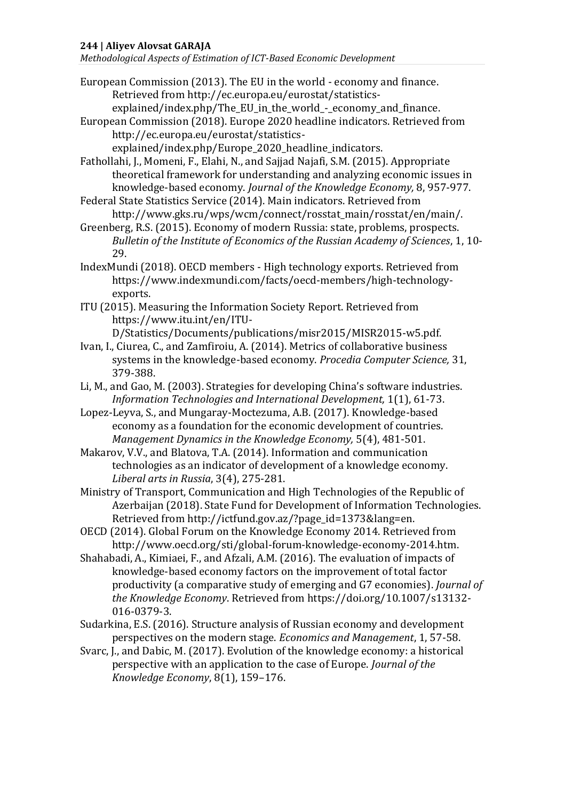*Methodological Aspects of Estimation of ICT-Based Economic Development*

- European Commission (2013). The EU in the world economy and finance. Retrieved from http://ec.europa.eu/eurostat/statisticsexplained/index.php/The\_EU\_in\_the\_world\_-\_economy\_and\_finance.
- European Commission (2018). Europe 2020 headline indicators. Retrieved from http://ec.europa.eu/eurostat/statistics-

explained/index.php/Europe\_2020\_headline\_indicators.

Fathollahi, J., Momeni, F., Elahi, N., and Sajjad Najafi, S.M. (2015). Appropriate theoretical framework for understanding and analyzing economic issues in knowledge-based economy. *Journal of the Knowledge Economy,* 8, 957-977.

Federal State Statistics Service (2014). Main indicators. Retrieved from http://www.gks.ru/wps/wcm/connect/rosstat\_main/rosstat/en/main/.

Greenberg, R.S. (2015). Economy of modern Russia: state, problems, prospects. *Bulletin of the Institute of Economics of the Russian Academy of Sciences*, 1, 10- 29.

IndexMundi (2018). OECD members - High technology exports. Retrieved from https://www.indexmundi.com/facts/oecd-members/high-technologyexports.

ITU (2015). Measuring the Information Society Report. Retrieved from https://www.itu.int/en/ITU-

D/Statistics/Documents/publications/misr2015/MISR2015-w5.pdf.

- Ivan, I., Ciurea, C., and Zamfiroiu, A. (2014). Metrics of collaborative business systems in the knowledge-based economy. *Procedia Computer Science,* 31, 379-388.
- Li, M., and Gao, M. (2003). Strategies for developing China's software industries. *Information Technologies and International Development,* 1(1), 61-73.
- Lopez-Leyva, S., and Mungaray-Moctezuma, A.B. (2017). Knowledge-based economy as a foundation for the economic development of countries. *Management Dynamics in the Knowledge Economy,* 5(4), 481-501.
- Makarov, V.V., and Blatova, T.A. (2014). Information and communication technologies as an indicator of development of a knowledge economy. *Liberal arts in Russia*, 3(4), 275-281.

Ministry of Transport, Communication and High Technologies of the Republic of Azerbaijan (2018). State Fund for Development of Information Technologies. Retrieved from http://ictfund.gov.az/?page\_id=1373&lang=en.

- OECD (2014). Global Forum on the Knowledge Economy 2014. Retrieved from http://www.oecd.org/sti/global-forum-knowledge-economy-2014.htm.
- Shahabadi, A., Kimiaei, F., and Afzali, A.M. (2016). [The evaluation of impacts of](http://link.springer.com/article/10.1007/s13132-016-0379-3)  [knowledge-based economy factors on the improvement of total factor](http://link.springer.com/article/10.1007/s13132-016-0379-3)  [productivity \(a comparative study of emerging and G7 economies\).](http://link.springer.com/article/10.1007/s13132-016-0379-3) *[Journal of](http://link.springer.com/journal/13132)  [the Knowledge Economy](http://link.springer.com/journal/13132)*. Retrieved from https://doi.org/10.1007/s13132- 016-0379-3.
- Sudarkina, E.S. (2016). Structure analysis of Russian economy and development perspectives on the modern stage. *Economics and Management*, 1, 57-58.

Svarc, J., and Dabic, M. (2017). Evolution of the knowledge economy: a historical perspective with an application to the case of Europe. *[Journal of the](http://link.springer.com/journal/13132)  [Knowledge Economy](http://link.springer.com/journal/13132)*, 8(1), 159–176.